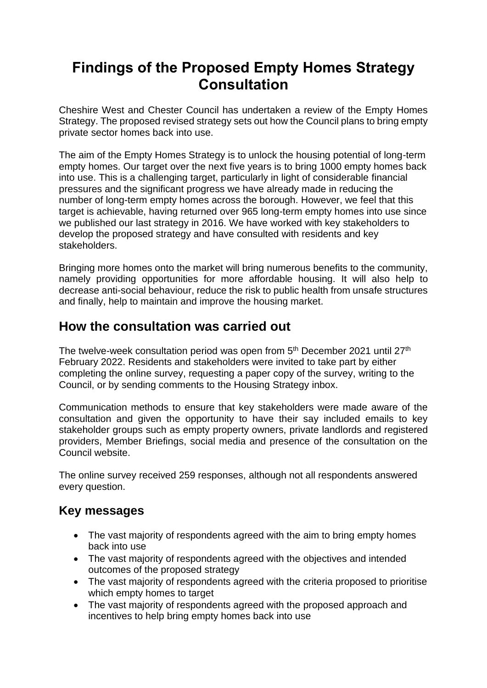# **Findings of the Proposed Empty Homes Strategy Consultation**

Cheshire West and Chester Council has undertaken a review of the Empty Homes Strategy. The proposed revised strategy sets out how the Council plans to bring empty private sector homes back into use.

The aim of the Empty Homes Strategy is to unlock the housing potential of long-term empty homes. Our target over the next five years is to bring 1000 empty homes back into use. This is a challenging target, particularly in light of considerable financial pressures and the significant progress we have already made in reducing the number of long-term empty homes across the borough. However, we feel that this target is achievable, having returned over 965 long-term empty homes into use since we published our last strategy in 2016. We have worked with key stakeholders to develop the proposed strategy and have consulted with residents and key stakeholders.

Bringing more homes onto the market will bring numerous benefits to the community, namely providing opportunities for more affordable housing. It will also help to decrease anti-social behaviour, reduce the risk to public health from unsafe structures and finally, help to maintain and improve the housing market.

## **How the consultation was carried out**

The twelve-week consultation period was open from 5<sup>th</sup> December 2021 until 27<sup>th</sup> February 2022. Residents and stakeholders were invited to take part by either completing the online survey, requesting a paper copy of the survey, writing to the Council, or by sending comments to the Housing Strategy inbox.

Communication methods to ensure that key stakeholders were made aware of the consultation and given the opportunity to have their say included emails to key stakeholder groups such as empty property owners, private landlords and registered providers, Member Briefings, social media and presence of the consultation on the Council website.

The online survey received 259 responses, although not all respondents answered every question.

## **Key messages**

- The vast majority of respondents agreed with the aim to bring empty homes back into use
- The vast majority of respondents agreed with the objectives and intended outcomes of the proposed strategy
- The vast majority of respondents agreed with the criteria proposed to prioritise which empty homes to target
- The vast majority of respondents agreed with the proposed approach and incentives to help bring empty homes back into use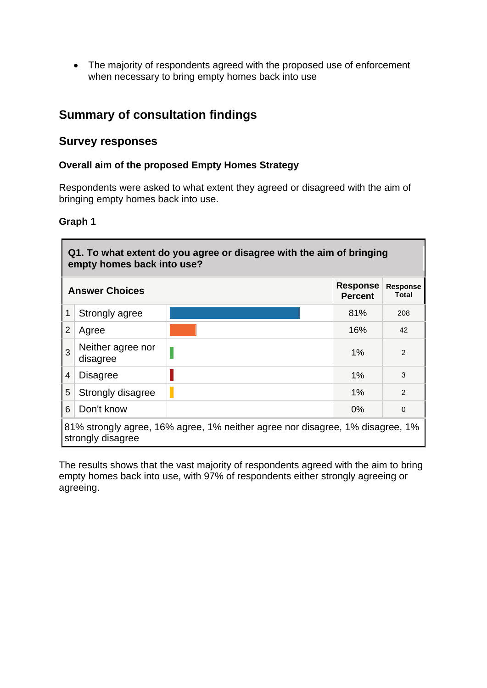• The majority of respondents agreed with the proposed use of enforcement when necessary to bring empty homes back into use

## **Summary of consultation findings**

## **Survey responses**

#### **Overall aim of the proposed Empty Homes Strategy**

Respondents were asked to what extent they agreed or disagreed with the aim of bringing empty homes back into use.

#### **Graph 1**

 $\overline{\phantom{0}}$ 

|   | Q1. To what extent do you agree or disagree with the aim of bringing<br>empty homes back into use? |  |       |                |  |  |
|---|----------------------------------------------------------------------------------------------------|--|-------|----------------|--|--|
|   | <b>Response</b><br><b>Response</b><br><b>Answer Choices</b><br>Total<br><b>Percent</b>             |  |       |                |  |  |
|   | Strongly agree                                                                                     |  | 81%   | 208            |  |  |
| 2 | Agree                                                                                              |  | 16%   | 42             |  |  |
| 3 | Neither agree nor<br>disagree                                                                      |  | $1\%$ | 2              |  |  |
| 4 | <b>Disagree</b>                                                                                    |  | 1%    | 3              |  |  |
| 5 | Strongly disagree                                                                                  |  | $1\%$ | $\mathfrak{p}$ |  |  |
| 6 | Don't know<br>$0\%$<br>$\Omega$                                                                    |  |       |                |  |  |
|   | 81% strongly agree, 16% agree, 1% neither agree nor disagree, 1% disagree, 1%<br>strongly disagree |  |       |                |  |  |

The results shows that the vast majority of respondents agreed with the aim to bring empty homes back into use, with 97% of respondents either strongly agreeing or agreeing.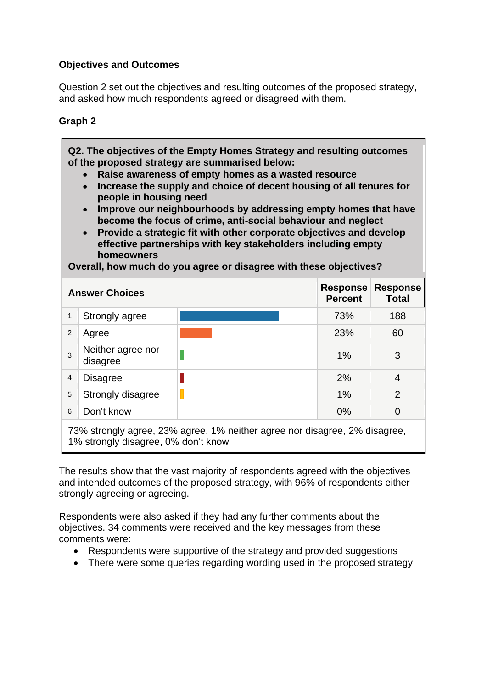### **Objectives and Outcomes**

Question 2 set out the objectives and resulting outcomes of the proposed strategy, and asked how much respondents agreed or disagreed with them.

## **Graph 2**

**Q2. The objectives of the Empty Homes Strategy and resulting outcomes of the proposed strategy are summarised below:** 

- **Raise awareness of empty homes as a wasted resource**
- **Increase the supply and choice of decent housing of all tenures for people in housing need**
- **Improve our neighbourhoods by addressing empty homes that have become the focus of crime, anti-social behaviour and neglect**
- **Provide a strategic fit with other corporate objectives and develop effective partnerships with key stakeholders including empty homeowners**

**Overall, how much do you agree or disagree with these objectives?** 

| <b>Answer Choices</b> |                                                                        | <b>Response</b><br><b>Percent</b> | <b>Response</b><br>Total |     |  |  |
|-----------------------|------------------------------------------------------------------------|-----------------------------------|--------------------------|-----|--|--|
| 1                     | Strongly agree                                                         |                                   | 73%                      | 188 |  |  |
| 2                     | Agree                                                                  |                                   | 23%                      | 60  |  |  |
| 3                     | Neither agree nor<br>disagree                                          |                                   | 1%                       | 3   |  |  |
| $\overline{4}$        | <b>Disagree</b>                                                        |                                   | 2%                       | 4   |  |  |
| 5                     | Strongly disagree                                                      |                                   | 1%                       | 2   |  |  |
| 6                     | Don't know                                                             |                                   | 0%                       | 0   |  |  |
|                       | 73% strongly agree 23% agree 1% peither agree nor disagree 2% disagree |                                   |                          |     |  |  |

73% strongly agree, 23% agree, 1% neither agree nor disagree, 2% disagree, 1% strongly disagree, 0% don't know

The results show that the vast majority of respondents agreed with the objectives and intended outcomes of the proposed strategy, with 96% of respondents either strongly agreeing or agreeing.

Respondents were also asked if they had any further comments about the objectives. 34 comments were received and the key messages from these comments were:

- Respondents were supportive of the strategy and provided suggestions
- There were some queries regarding wording used in the proposed strategy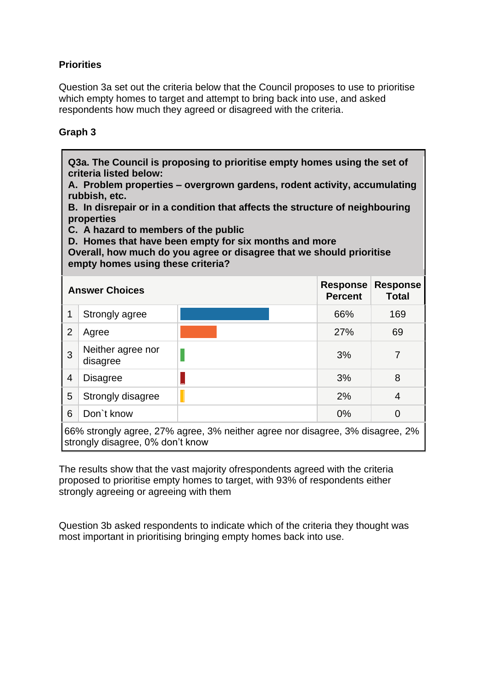## **Priorities**

Question 3a set out the criteria below that the Council proposes to use to prioritise which empty homes to target and attempt to bring back into use, and asked respondents how much they agreed or disagreed with the criteria.

#### **Graph 3**

| Q3a. The Council is proposing to prioritise empty homes using the set of<br>criteria listed below:<br>A. Problem properties – overgrown gardens, rodent activity, accumulating<br>rubbish, etc.<br>B. In disrepair or in a condition that affects the structure of neighbouring<br>properties<br>C. A hazard to members of the public<br>D. Homes that have been empty for six months and more<br>Overall, how much do you agree or disagree that we should prioritise<br>empty homes using these criteria? |                                                                                                                   |  |     |     |  |  |
|-------------------------------------------------------------------------------------------------------------------------------------------------------------------------------------------------------------------------------------------------------------------------------------------------------------------------------------------------------------------------------------------------------------------------------------------------------------------------------------------------------------|-------------------------------------------------------------------------------------------------------------------|--|-----|-----|--|--|
|                                                                                                                                                                                                                                                                                                                                                                                                                                                                                                             | <b>Response</b><br><b>Response</b><br><b>Answer Choices</b><br><b>Percent</b><br><b>Total</b>                     |  |     |     |  |  |
| 1                                                                                                                                                                                                                                                                                                                                                                                                                                                                                                           | Strongly agree                                                                                                    |  | 66% | 169 |  |  |
| 2                                                                                                                                                                                                                                                                                                                                                                                                                                                                                                           | Agree                                                                                                             |  | 27% | 69  |  |  |
| 3                                                                                                                                                                                                                                                                                                                                                                                                                                                                                                           | Neither agree nor<br>disagree                                                                                     |  | 3%  | 7   |  |  |
| 4                                                                                                                                                                                                                                                                                                                                                                                                                                                                                                           | <b>Disagree</b>                                                                                                   |  | 3%  | 8   |  |  |
| 5                                                                                                                                                                                                                                                                                                                                                                                                                                                                                                           | Strongly disagree                                                                                                 |  | 2%  | 4   |  |  |
| 6                                                                                                                                                                                                                                                                                                                                                                                                                                                                                                           | Don't know<br>$0\%$<br>$\Omega$                                                                                   |  |     |     |  |  |
|                                                                                                                                                                                                                                                                                                                                                                                                                                                                                                             | 66% strongly agree, 27% agree, 3% neither agree nor disagree, 3% disagree, 2%<br>strongly disagree, 0% don't know |  |     |     |  |  |

The results show that the vast majority ofrespondents agreed with the criteria proposed to prioritise empty homes to target, with 93% of respondents either strongly agreeing or agreeing with them

Question 3b asked respondents to indicate which of the criteria they thought was most important in prioritising bringing empty homes back into use.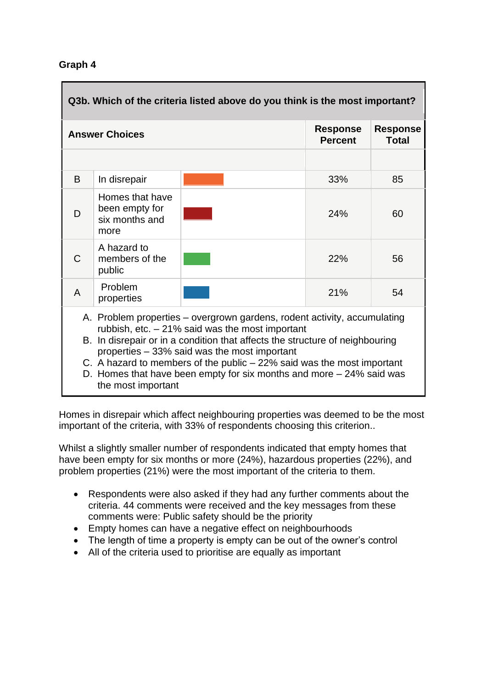| Q3b. Which of the criteria listed above do you think is the most important?                                                                                                                                                                                                                                                                                                                                                               |                                                                                               |  |     |    |  |  |
|-------------------------------------------------------------------------------------------------------------------------------------------------------------------------------------------------------------------------------------------------------------------------------------------------------------------------------------------------------------------------------------------------------------------------------------------|-----------------------------------------------------------------------------------------------|--|-----|----|--|--|
|                                                                                                                                                                                                                                                                                                                                                                                                                                           | <b>Response</b><br><b>Response</b><br><b>Answer Choices</b><br><b>Percent</b><br><b>Total</b> |  |     |    |  |  |
|                                                                                                                                                                                                                                                                                                                                                                                                                                           |                                                                                               |  |     |    |  |  |
| B                                                                                                                                                                                                                                                                                                                                                                                                                                         | In disrepair                                                                                  |  | 33% | 85 |  |  |
| D                                                                                                                                                                                                                                                                                                                                                                                                                                         | Homes that have<br>been empty for<br>six months and<br>more                                   |  | 24% | 60 |  |  |
| C                                                                                                                                                                                                                                                                                                                                                                                                                                         | A hazard to<br>members of the<br>public                                                       |  | 22% | 56 |  |  |
| $\overline{A}$                                                                                                                                                                                                                                                                                                                                                                                                                            | Problem<br>properties                                                                         |  | 21% | 54 |  |  |
| A. Problem properties – overgrown gardens, rodent activity, accumulating<br>rubbish, etc. $-21\%$ said was the most important<br>B. In disrepair or in a condition that affects the structure of neighbouring<br>properties – 33% said was the most important<br>C. A hazard to members of the public $-22\%$ said was the most important<br>D. Homes that have been empty for six months and more $-24\%$ said was<br>the most important |                                                                                               |  |     |    |  |  |

Homes in disrepair which affect neighbouring properties was deemed to be the most important of the criteria, with 33% of respondents choosing this criterion..

Whilst a slightly smaller number of respondents indicated that empty homes that have been empty for six months or more (24%), hazardous properties (22%), and problem properties (21%) were the most important of the criteria to them.

- Respondents were also asked if they had any further comments about the criteria. 44 comments were received and the key messages from these comments were: Public safety should be the priority
- Empty homes can have a negative effect on neighbourhoods
- The length of time a property is empty can be out of the owner's control
- All of the criteria used to prioritise are equally as important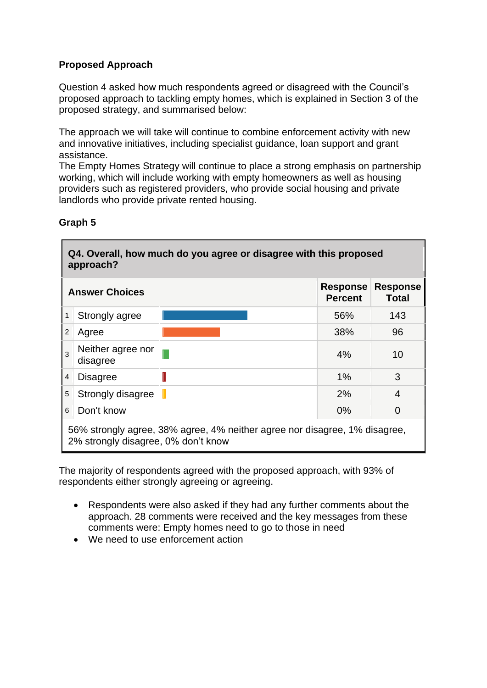## **Proposed Approach**

Question 4 asked how much respondents agreed or disagreed with the Council's proposed approach to tackling empty homes, which is explained in Section 3 of the proposed strategy, and summarised below:

The approach we will take will continue to combine enforcement activity with new and innovative initiatives, including specialist guidance, loan support and grant assistance.

The Empty Homes Strategy will continue to place a strong emphasis on partnership working, which will include working with empty homeowners as well as housing providers such as registered providers, who provide social housing and private landlords who provide private rented housing.

|                | Q4. Overall, how much do you agree or disagree with this proposed<br>approach?                                    |  |       |          |  |
|----------------|-------------------------------------------------------------------------------------------------------------------|--|-------|----------|--|
|                | <b>Response</b><br><b>Response</b><br><b>Answer Choices</b><br><b>Percent</b><br>Total                            |  |       |          |  |
| 1              | Strongly agree                                                                                                    |  | 56%   | 143      |  |
| 2              | Agree                                                                                                             |  | 38%   | 96       |  |
| 3              | Neither agree nor<br>disagree                                                                                     |  | $4\%$ | 10       |  |
| $\overline{4}$ | <b>Disagree</b>                                                                                                   |  | 1%    | 3        |  |
| 5              | Strongly disagree                                                                                                 |  | 2%    | 4        |  |
| 6              | Don't know                                                                                                        |  | $0\%$ | $\Omega$ |  |
|                | 56% strongly agree, 38% agree, 4% neither agree nor disagree, 1% disagree,<br>2% strongly disagree, 0% don't know |  |       |          |  |

#### **Graph 5**

The majority of respondents agreed with the proposed approach, with 93% of respondents either strongly agreeing or agreeing.

- Respondents were also asked if they had any further comments about the approach. 28 comments were received and the key messages from these comments were: Empty homes need to go to those in need
- We need to use enforcement action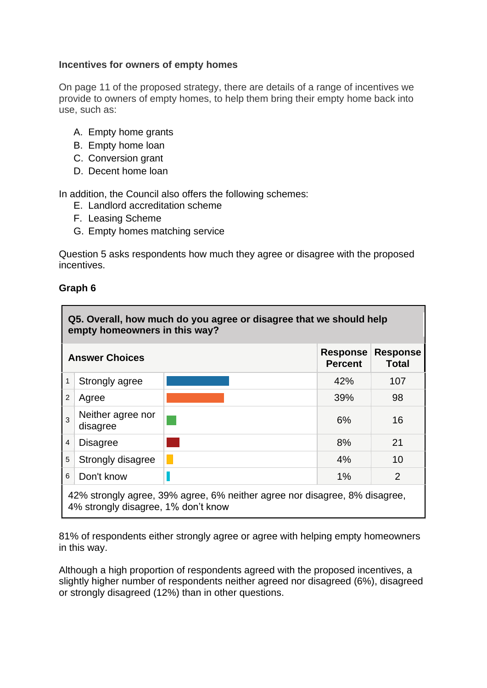#### **Incentives for owners of empty homes**

On page 11 of the proposed strategy, there are details of a range of incentives we provide to owners of empty homes, to help them bring their empty home back into use, such as:

- A. Empty home grants
- B. Empty home loan
- C. Conversion grant
- D. Decent home loan

In addition, the Council also offers the following schemes:

- E. Landlord accreditation scheme
- F. Leasing Scheme
- G. Empty homes matching service

Question 5 asks respondents how much they agree or disagree with the proposed incentives.

#### **Graph 6**

|                                                            | Q5. Overall, how much do you agree or disagree that we should help<br>empty homeowners in this way?               |  |     |                          |  |
|------------------------------------------------------------|-------------------------------------------------------------------------------------------------------------------|--|-----|--------------------------|--|
| <b>Response</b><br><b>Answer Choices</b><br><b>Percent</b> |                                                                                                                   |  |     | <b>Response</b><br>Total |  |
| $\mathbf{1}$                                               | Strongly agree                                                                                                    |  | 42% | 107                      |  |
| 2                                                          | Agree                                                                                                             |  | 39% | 98                       |  |
| 3                                                          | Neither agree nor<br>disagree                                                                                     |  | 6%  | 16                       |  |
| 4                                                          | <b>Disagree</b>                                                                                                   |  | 8%  | 21                       |  |
| 5                                                          | Strongly disagree                                                                                                 |  | 4%  | 10                       |  |
| 6                                                          | Don't know                                                                                                        |  | 1%  | $\overline{2}$           |  |
|                                                            | 42% strongly agree, 39% agree, 6% neither agree nor disagree, 8% disagree,<br>4% strongly disagree, 1% don't know |  |     |                          |  |

81% of respondents either strongly agree or agree with helping empty homeowners in this way.

Although a high proportion of respondents agreed with the proposed incentives, a slightly higher number of respondents neither agreed nor disagreed (6%), disagreed or strongly disagreed (12%) than in other questions.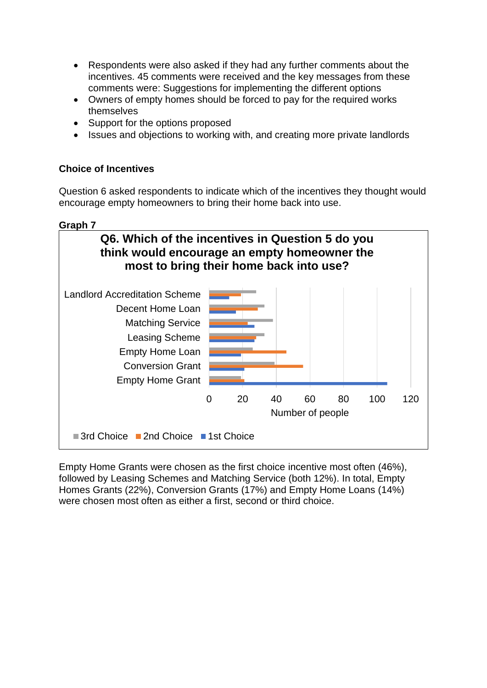- Respondents were also asked if they had any further comments about the incentives. 45 comments were received and the key messages from these comments were: Suggestions for implementing the different options
- Owners of empty homes should be forced to pay for the required works themselves
- Support for the options proposed
- Issues and objections to working with, and creating more private landlords

### **Choice of Incentives**

Question 6 asked respondents to indicate which of the incentives they thought would encourage empty homeowners to bring their home back into use.

#### **Graph 7**



Empty Home Grants were chosen as the first choice incentive most often (46%), followed by Leasing Schemes and Matching Service (both 12%). In total, Empty Homes Grants (22%), Conversion Grants (17%) and Empty Home Loans (14%) were chosen most often as either a first, second or third choice.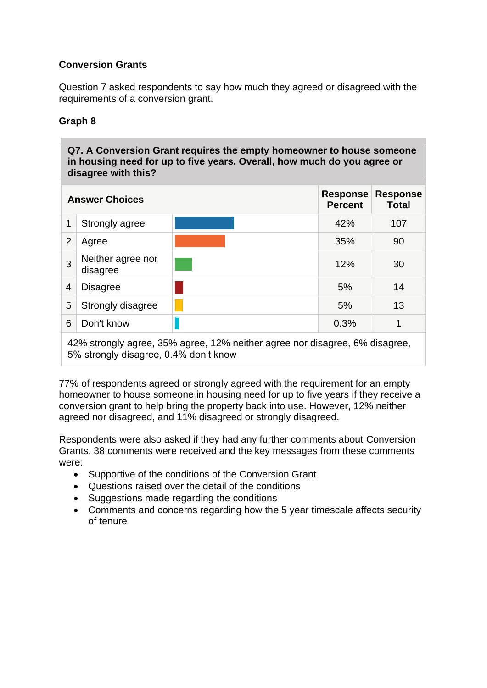## **Conversion Grants**

Question 7 asked respondents to say how much they agreed or disagreed with the requirements of a conversion grant.

## **Graph 8**

**Q7. A Conversion Grant requires the empty homeowner to house someone in housing need for up to five years. Overall, how much do you agree or disagree with this?** 

|                | <b>Answer Choices</b>                                                       |  | <b>Response</b><br><b>Percent</b> | <b>Response</b><br><b>Total</b> |  |  |
|----------------|-----------------------------------------------------------------------------|--|-----------------------------------|---------------------------------|--|--|
|                | Strongly agree                                                              |  | 42%                               | 107                             |  |  |
| $\overline{2}$ | Agree                                                                       |  | 35%                               | 90                              |  |  |
| 3              | Neither agree nor<br>disagree                                               |  | 12%                               | 30                              |  |  |
| 4              | <b>Disagree</b>                                                             |  | 5%                                | 14                              |  |  |
| 5              | Strongly disagree                                                           |  | 5%                                | 13                              |  |  |
| 6              | Don't know                                                                  |  | 0.3%                              | 1                               |  |  |
|                | 42% strongly agree, 35% agree, 12% neither agree nor disagree, 6% disagree, |  |                                   |                                 |  |  |

77% of respondents agreed or strongly agreed with the requirement for an empty homeowner to house someone in housing need for up to five years if they receive a conversion grant to help bring the property back into use. However, 12% neither agreed nor disagreed, and 11% disagreed or strongly disagreed.

Respondents were also asked if they had any further comments about Conversion Grants. 38 comments were received and the key messages from these comments were:

- Supportive of the conditions of the Conversion Grant
- Questions raised over the detail of the conditions
- Suggestions made regarding the conditions

5% strongly disagree, 0.4% don't know

• Comments and concerns regarding how the 5 year timescale affects security of tenure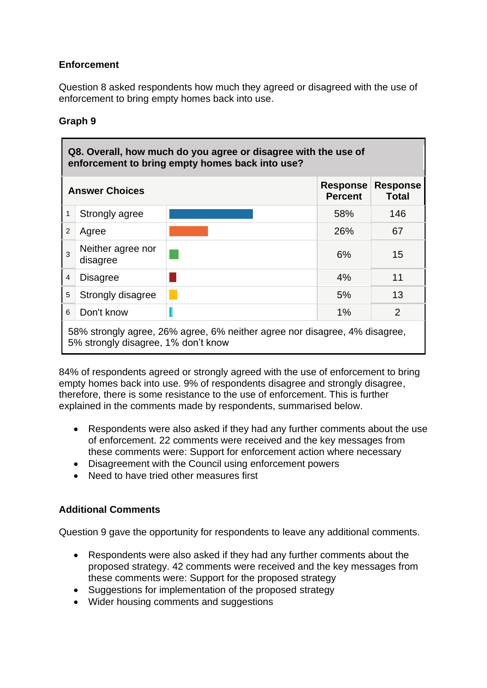## **Enforcement**

Question 8 asked respondents how much they agreed or disagreed with the use of enforcement to bring empty homes back into use.

## **Graph 9**

|   | Q8. Overall, how much do you agree or disagree with the use of<br>enforcement to bring empty homes back into use? |  |     |     |  |
|---|-------------------------------------------------------------------------------------------------------------------|--|-----|-----|--|
|   | <b>Response</b><br><b>Response</b><br><b>Answer Choices</b><br><b>Percent</b><br><b>Total</b>                     |  |     |     |  |
| 1 | Strongly agree                                                                                                    |  | 58% | 146 |  |
| 2 | Agree                                                                                                             |  | 26% | 67  |  |
| 3 | Neither agree nor<br>disagree                                                                                     |  | 6%  | 15  |  |
| 4 | <b>Disagree</b>                                                                                                   |  | 4%  | 11  |  |
| 5 | Strongly disagree                                                                                                 |  | 5%  | 13  |  |
| 6 | Don't know                                                                                                        |  | 1%  | 2   |  |
|   | 58% strongly agree, 26% agree, 6% neither agree nor disagree, 4% disagree,<br>5% strongly disagree, 1% don't know |  |     |     |  |

84% of respondents agreed or strongly agreed with the use of enforcement to bring empty homes back into use. 9% of respondents disagree and strongly disagree, therefore, there is some resistance to the use of enforcement. This is further explained in the comments made by respondents, summarised below.

- Respondents were also asked if they had any further comments about the use of enforcement. 22 comments were received and the key messages from these comments were: Support for enforcement action where necessary
- Disagreement with the Council using enforcement powers
- Need to have tried other measures first

## **Additional Comments**

Question 9 gave the opportunity for respondents to leave any additional comments.

- Respondents were also asked if they had any further comments about the proposed strategy. 42 comments were received and the key messages from these comments were: Support for the proposed strategy
- Suggestions for implementation of the proposed strategy
- Wider housing comments and suggestions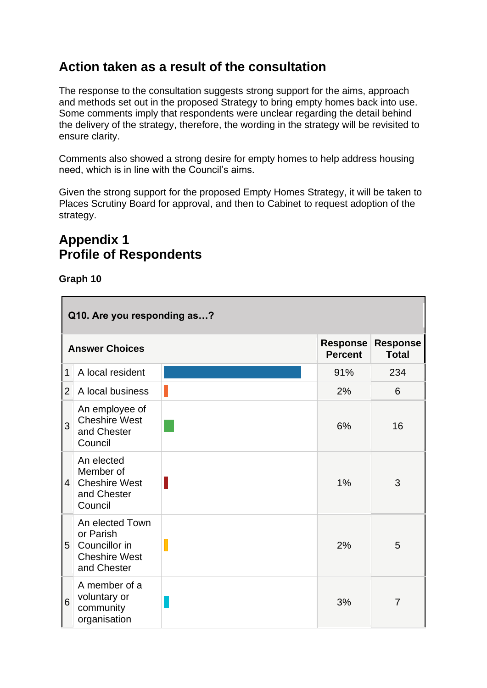## **Action taken as a result of the consultation**

The response to the consultation suggests strong support for the aims, approach and methods set out in the proposed Strategy to bring empty homes back into use. Some comments imply that respondents were unclear regarding the detail behind the delivery of the strategy, therefore, the wording in the strategy will be revisited to ensure clarity.

Comments also showed a strong desire for empty homes to help address housing need, which is in line with the Council's aims.

Given the strong support for the proposed Empty Homes Strategy, it will be taken to Places Scrutiny Board for approval, and then to Cabinet to request adoption of the strategy.

## **Appendix 1 Profile of Respondents**

|                | Q10. Are you responding as?                                                          |                                   |                                 |     |  |
|----------------|--------------------------------------------------------------------------------------|-----------------------------------|---------------------------------|-----|--|
|                | <b>Answer Choices</b>                                                                | <b>Response</b><br><b>Percent</b> | <b>Response</b><br><b>Total</b> |     |  |
| $\mathbf 1$    | A local resident                                                                     |                                   | 91%                             | 234 |  |
| $\overline{2}$ | A local business                                                                     |                                   | 2%                              | 6   |  |
| 3              | An employee of<br><b>Cheshire West</b><br>and Chester<br>Council                     |                                   | 6%                              | 16  |  |
| 4              | An elected<br>Member of<br><b>Cheshire West</b><br>and Chester<br>Council            | I                                 | $1\%$                           | 3   |  |
| 5              | An elected Town<br>or Parish<br>Councillor in<br><b>Cheshire West</b><br>and Chester |                                   | 2%                              | 5   |  |
| 6              | A member of a<br>voluntary or<br>community<br>organisation                           |                                   | 3%                              | 7   |  |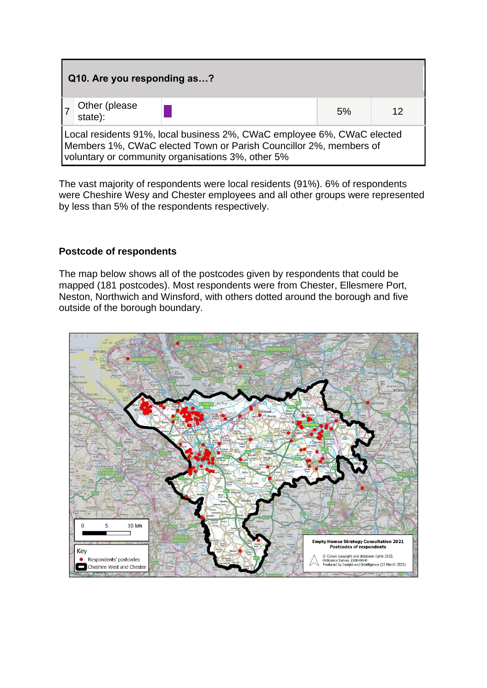| Q10. Are you responding as?                                                                                                                                                                      |  |    |    |  |  |
|--------------------------------------------------------------------------------------------------------------------------------------------------------------------------------------------------|--|----|----|--|--|
| Other (please<br>state):                                                                                                                                                                         |  | 5% | 12 |  |  |
| Local residents 91%, local business 2%, CWaC employee 6%, CWaC elected<br>Members 1%, CWaC elected Town or Parish Councillor 2%, members of<br>voluntary or community organisations 3%, other 5% |  |    |    |  |  |

The vast majority of respondents were local residents (91%). 6% of respondents were Cheshire Wesy and Chester employees and all other groups were represented by less than 5% of the respondents respectively.

#### **Postcode of respondents**

The map below shows all of the postcodes given by respondents that could be mapped (181 postcodes). Most respondents were from Chester, Ellesmere Port, Neston, Northwich and Winsford, with others dotted around the borough and five outside of the borough boundary.

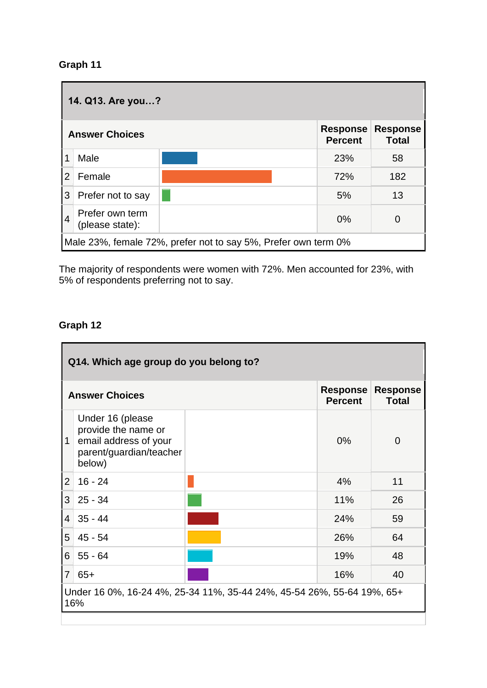| 14. Q13. Are you? |                                                                                               |                                                                |            |     |  |
|-------------------|-----------------------------------------------------------------------------------------------|----------------------------------------------------------------|------------|-----|--|
|                   | <b>Response</b><br><b>Response</b><br><b>Answer Choices</b><br><b>Percent</b><br><b>Total</b> |                                                                |            |     |  |
|                   | Male                                                                                          |                                                                | <b>23%</b> | 58  |  |
| $\overline{2}$    | Female                                                                                        |                                                                | 72%        | 182 |  |
| 3                 | Prefer not to say                                                                             |                                                                | 5%         | 13  |  |
| $\overline{4}$    | Prefer own term<br>(please state):                                                            |                                                                | 0%         |     |  |
|                   |                                                                                               | Male 23%, female 72%, prefer not to say 5%, Prefer own term 0% |            |     |  |

The majority of respondents were women with 72%. Men accounted for 23%, with 5% of respondents preferring not to say.

|                | Q14. Which age group do you belong to?                                                                |  |       |    |  |
|----------------|-------------------------------------------------------------------------------------------------------|--|-------|----|--|
|                | <b>Response</b><br><b>Response</b><br><b>Answer Choices</b><br><b>Percent</b><br><b>Total</b>         |  |       |    |  |
| 1              | Under 16 (please<br>provide the name or<br>email address of your<br>parent/guardian/teacher<br>below) |  | $0\%$ | 0  |  |
| $\overline{2}$ | $16 - 24$                                                                                             |  | 4%    | 11 |  |
| 3              | $25 - 34$                                                                                             |  | 11%   | 26 |  |
| $\overline{4}$ | $35 - 44$                                                                                             |  | 24%   | 59 |  |
| 5              | $45 - 54$                                                                                             |  | 26%   | 64 |  |
| 6              | $55 - 64$                                                                                             |  | 19%   | 48 |  |
| $\overline{7}$ | $65+$                                                                                                 |  | 16%   | 40 |  |
|                | Under 16 0%, 16-24 4%, 25-34 11%, 35-44 24%, 45-54 26%, 55-64 19%, 65+<br>16%                         |  |       |    |  |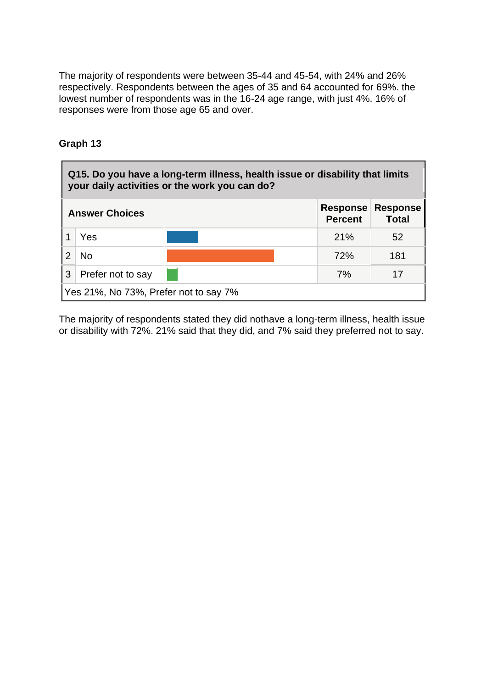The majority of respondents were between 35-44 and 45-54, with 24% and 26% respectively. Respondents between the ages of 35 and 64 accounted for 69%. the lowest number of respondents was in the 16-24 age range, with just 4%. 16% of responses were from those age 65 and over.

## **Graph 13**

| Q15. Do you have a long-term illness, health issue or disability that limits<br>your daily activities or the work you can do? |                                       |                                   |                                 |     |
|-------------------------------------------------------------------------------------------------------------------------------|---------------------------------------|-----------------------------------|---------------------------------|-----|
| <b>Answer Choices</b>                                                                                                         |                                       | <b>Response</b><br><b>Percent</b> | <b>Response</b><br><b>Total</b> |     |
|                                                                                                                               | Yes                                   |                                   | 21%                             | 52  |
|                                                                                                                               | No.                                   |                                   | 72%                             | 181 |
| 3                                                                                                                             | Prefer not to say                     |                                   | 7%                              | 17  |
|                                                                                                                               | Yes 21%, No 73%, Prefer not to say 7% |                                   |                                 |     |

The majority of respondents stated they did nothave a long-term illness, health issue or disability with 72%. 21% said that they did, and 7% said they preferred not to say.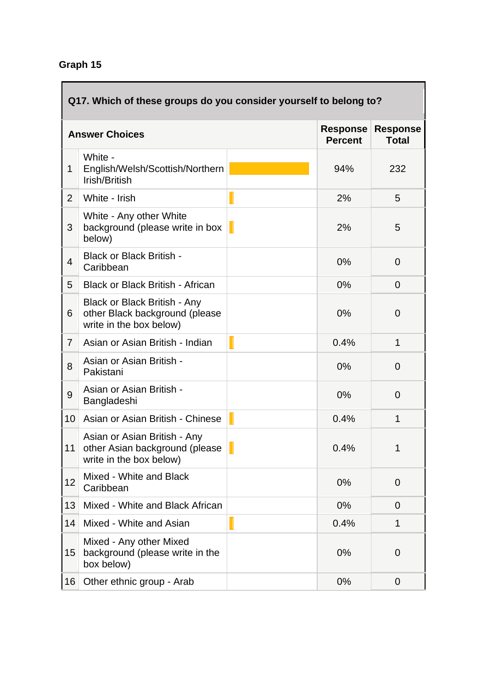| Q17. Which of these groups do you consider yourself to belong to? |                                                                                                  |  |                                   |                                 |
|-------------------------------------------------------------------|--------------------------------------------------------------------------------------------------|--|-----------------------------------|---------------------------------|
| <b>Answer Choices</b>                                             |                                                                                                  |  | <b>Response</b><br><b>Percent</b> | <b>Response</b><br><b>Total</b> |
| 1                                                                 | White -<br>English/Welsh/Scottish/Northern<br>Irish/British                                      |  | 94%                               | 232                             |
| $\overline{2}$                                                    | White - Irish                                                                                    |  | 2%                                | 5                               |
| 3                                                                 | White - Any other White<br>background (please write in box<br>below)                             |  | 2%                                | 5                               |
| 4                                                                 | <b>Black or Black British -</b><br>Caribbean                                                     |  | 0%                                | $\overline{0}$                  |
| 5                                                                 | <b>Black or Black British - African</b>                                                          |  | 0%                                | $\overline{0}$                  |
| 6                                                                 | <b>Black or Black British - Any</b><br>other Black background (please<br>write in the box below) |  | 0%                                | 0                               |
| $\overline{7}$                                                    | Asian or Asian British - Indian                                                                  |  | 0.4%                              | 1                               |
| 8                                                                 | Asian or Asian British -<br>Pakistani                                                            |  | 0%                                | $\overline{0}$                  |
| 9                                                                 | Asian or Asian British -<br>Bangladeshi                                                          |  | 0%                                | $\overline{0}$                  |
| 10                                                                | Asian or Asian British - Chinese                                                                 |  | 0.4%                              | 1                               |
| 11                                                                | Asian or Asian British - Any<br>other Asian background (please<br>write in the box below)        |  | 0.4%                              | 1                               |
| 12                                                                | Mixed - White and Black<br>Caribbean                                                             |  | 0%                                | $\Omega$                        |
| 13                                                                | Mixed - White and Black African                                                                  |  | 0%                                | $\Omega$                        |
| 14                                                                | Mixed - White and Asian                                                                          |  | 0.4%                              | 1                               |
| 15                                                                | Mixed - Any other Mixed<br>background (please write in the<br>box below)                         |  | 0%                                | 0                               |
| 16                                                                | Other ethnic group - Arab                                                                        |  | $0\%$                             | $\mathbf 0$                     |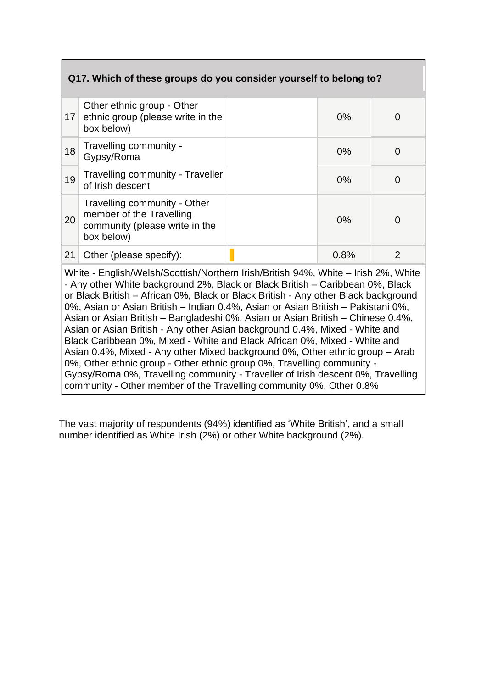| Q17. Which of these groups do you consider yourself to belong to? |                                                                                                                                                                                                                                                                                                                                                                                                                                  |  |       |                |  |
|-------------------------------------------------------------------|----------------------------------------------------------------------------------------------------------------------------------------------------------------------------------------------------------------------------------------------------------------------------------------------------------------------------------------------------------------------------------------------------------------------------------|--|-------|----------------|--|
| 17                                                                | Other ethnic group - Other<br>ethnic group (please write in the<br>box below)                                                                                                                                                                                                                                                                                                                                                    |  | $0\%$ | 0              |  |
| 18                                                                | Travelling community -<br>Gypsy/Roma                                                                                                                                                                                                                                                                                                                                                                                             |  | $0\%$ | 0              |  |
| 19                                                                | <b>Travelling community - Traveller</b><br>of Irish descent                                                                                                                                                                                                                                                                                                                                                                      |  | $0\%$ | 0              |  |
| 20                                                                | Travelling community - Other<br>member of the Travelling<br>community (please write in the<br>box below)                                                                                                                                                                                                                                                                                                                         |  | 0%    | 0              |  |
| 21                                                                | Other (please specify):                                                                                                                                                                                                                                                                                                                                                                                                          |  | 0.8%  | $\overline{2}$ |  |
|                                                                   | White - English/Welsh/Scottish/Northern Irish/British 94%, White - Irish 2%, White<br>- Any other White background 2%, Black or Black British – Caribbean 0%, Black<br>or Black British – African 0%, Black or Black British - Any other Black background<br>0%, Asian or Asian British – Indian 0.4%, Asian or Asian British – Pakistani 0%,<br>Asian or Asian British - Bangladeshi 0%, Asian or Asian British - Chinese 0.4%, |  |       |                |  |

Asian or Asian British - Any other Asian background 0.4%, Mixed - White and Black Caribbean 0%, Mixed - White and Black African 0%, Mixed - White and Asian 0.4%, Mixed - Any other Mixed background 0%, Other ethnic group – Arab 0%, Other ethnic group - Other ethnic group 0%, Travelling community - Gypsy/Roma 0%, Travelling community - Traveller of Irish descent 0%, Travelling community - Other member of the Travelling community 0%, Other 0.8%

The vast majority of respondents (94%) identified as 'White British', and a small number identified as White Irish (2%) or other White background (2%).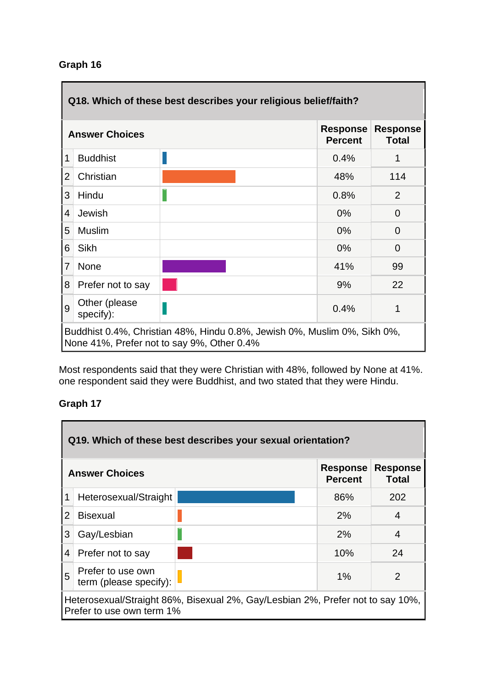| Q18. Which of these best describes your religious belief/faith? |                                                                                                                        |                                   |                                 |     |
|-----------------------------------------------------------------|------------------------------------------------------------------------------------------------------------------------|-----------------------------------|---------------------------------|-----|
| <b>Answer Choices</b>                                           |                                                                                                                        | <b>Response</b><br><b>Percent</b> | <b>Response</b><br><b>Total</b> |     |
| 1                                                               | <b>Buddhist</b>                                                                                                        |                                   | 0.4%                            |     |
| $\overline{2}$                                                  | Christian                                                                                                              |                                   | 48%                             | 114 |
| 3                                                               | Hindu                                                                                                                  |                                   | 0.8%                            | 2   |
| 4                                                               | Jewish                                                                                                                 |                                   | $0\%$                           | 0   |
| 5                                                               | <b>Muslim</b>                                                                                                          |                                   | 0%                              | 0   |
| 6                                                               | <b>Sikh</b>                                                                                                            |                                   | $0\%$                           | 0   |
| $\overline{7}$                                                  | <b>None</b>                                                                                                            |                                   | 41%                             | 99  |
| 8                                                               | Prefer not to say                                                                                                      |                                   | 9%                              | 22  |
| 9                                                               | Other (please<br>specify):                                                                                             |                                   | 0.4%                            |     |
|                                                                 | Buddhist 0.4%, Christian 48%, Hindu 0.8%, Jewish 0%, Muslim 0%, Sikh 0%,<br>None 41%, Prefer not to say 9%, Other 0.4% |                                   |                                 |     |

Most respondents said that they were Christian with 48%, followed by None at 41%. one respondent said they were Buddhist, and two stated that they were Hindu.